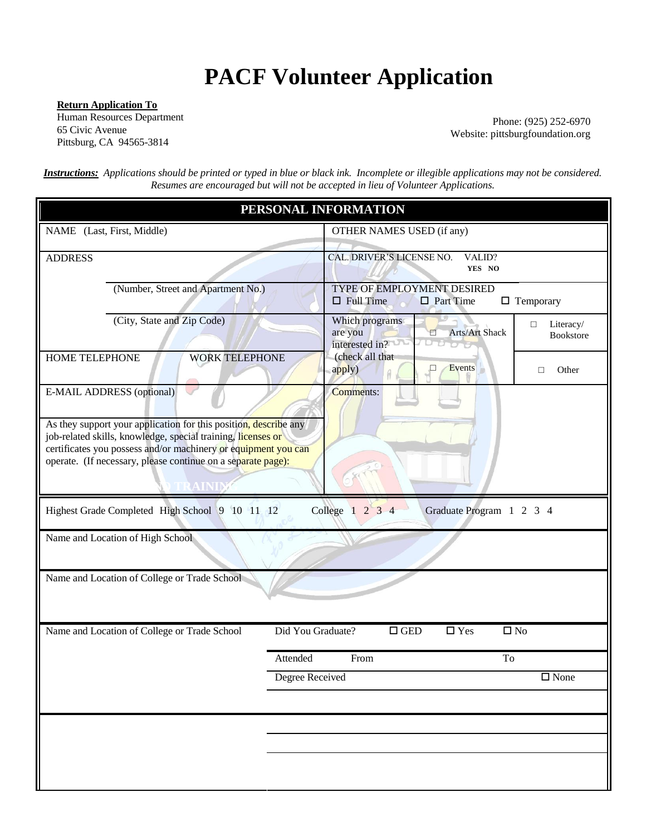## **PACF Volunteer Application**

**Return Application To** Human Resources Department Pittsburg, CA 94565-3814

65 Civic Avenue Website: pittsburgfoundation.org Phone: (925) 252-6970

*Instructions: Applications should be printed or typed in blue or black ink. Incomplete or illegible applications may not be considered. Resumes are encouraged but will not be accepted in lieu of Volunteer Applications.* 

| PERSONAL INFORMATION                                                                                                                                                                                                                                                                            |                                                                                                        |  |  |  |  |
|-------------------------------------------------------------------------------------------------------------------------------------------------------------------------------------------------------------------------------------------------------------------------------------------------|--------------------------------------------------------------------------------------------------------|--|--|--|--|
| NAME (Last, First, Middle)                                                                                                                                                                                                                                                                      | OTHER NAMES USED (if any)                                                                              |  |  |  |  |
| <b>ADDRESS</b>                                                                                                                                                                                                                                                                                  | CAL. DRIVER'S LICENSE NO.<br>VALID?<br>YES NO                                                          |  |  |  |  |
| (Number, Street and Apartment No.)                                                                                                                                                                                                                                                              | TYPE OF EMPLOYMENT DESIRED<br>$\Box$ Full Time<br>$\Box$ Part Time<br>$\Box$ Temporary                 |  |  |  |  |
| (City, State and Zip Code)                                                                                                                                                                                                                                                                      | Which programs<br>Literacy/<br>$\Box$<br>Arts/Art Shack<br>are you<br>Ε<br>Bookstore<br>interested in? |  |  |  |  |
| HOME TELEPHONE<br><b>WORK TELEPHONE</b>                                                                                                                                                                                                                                                         | (check all that<br>Events<br>apply)<br>□<br>$\Box$<br>Other                                            |  |  |  |  |
| E-MAIL ADDRESS (optional)<br>As they support your application for this position, describe any<br>job-related skills, knowledge, special training, licenses or<br>certificates you possess and/or machinery or equipment you can<br>operate. (If necessary, please continue on a separate page): | <b>Comments:</b>                                                                                       |  |  |  |  |
| Highest Grade Completed High School 9 10 11 12                                                                                                                                                                                                                                                  | College 1 2 3 4<br>Graduate Program 1 2 3 4                                                            |  |  |  |  |
| Name and Location of High School                                                                                                                                                                                                                                                                |                                                                                                        |  |  |  |  |
| Name and Location of College or Trade School                                                                                                                                                                                                                                                    |                                                                                                        |  |  |  |  |
| Name and Location of College or Trade School                                                                                                                                                                                                                                                    | Did You Graduate?<br>$\square$ GED<br>$\square$ Yes<br>$\square$ No                                    |  |  |  |  |
|                                                                                                                                                                                                                                                                                                 | Attended<br>To<br>From                                                                                 |  |  |  |  |
|                                                                                                                                                                                                                                                                                                 | <b>Degree Received</b><br>$\square$ None                                                               |  |  |  |  |
|                                                                                                                                                                                                                                                                                                 |                                                                                                        |  |  |  |  |
|                                                                                                                                                                                                                                                                                                 |                                                                                                        |  |  |  |  |
|                                                                                                                                                                                                                                                                                                 |                                                                                                        |  |  |  |  |